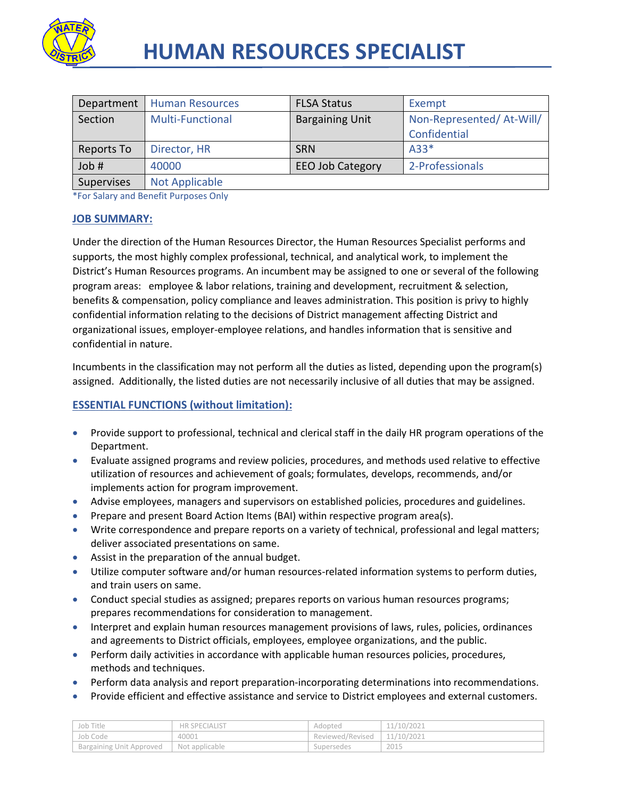

| Department | <b>Human Resources</b>  | <b>FLSA Status</b>      | Exempt                   |
|------------|-------------------------|-------------------------|--------------------------|
| Section    | <b>Multi-Functional</b> | <b>Bargaining Unit</b>  | Non-Represented/At-Will/ |
|            |                         |                         | Confidential             |
| Reports To | Director, HR            | <b>SRN</b>              | $A33*$                   |
| Job #      | 40000                   | <b>EEO Job Category</b> | 2-Professionals          |
| Supervises | <b>Not Applicable</b>   |                         |                          |

\*For Salary and Benefit Purposes Only

#### **JOB SUMMARY:**

Under the direction of the Human Resources Director, the Human Resources Specialist performs and supports, the most highly complex professional, technical, and analytical work, to implement the District's Human Resources programs. An incumbent may be assigned to one or several of the following program areas: employee & labor relations, training and development, recruitment & selection, benefits & compensation, policy compliance and leaves administration. This position is privy to highly confidential information relating to the decisions of District management affecting District and organizational issues, employer-employee relations, and handles information that is sensitive and confidential in nature.

Incumbents in the classification may not perform all the duties as listed, depending upon the program(s) assigned. Additionally, the listed duties are not necessarily inclusive of all duties that may be assigned.

## **ESSENTIAL FUNCTIONS (without limitation):**

- Provide support to professional, technical and clerical staff in the daily HR program operations of the Department.
- Evaluate assigned programs and review policies, procedures, and methods used relative to effective utilization of resources and achievement of goals; formulates, develops, recommends, and/or implements action for program improvement.
- Advise employees, managers and supervisors on established policies, procedures and guidelines.
- Prepare and present Board Action Items (BAI) within respective program area(s).
- Write correspondence and prepare reports on a variety of technical, professional and legal matters; deliver associated presentations on same.
- Assist in the preparation of the annual budget.
- Utilize computer software and/or human resources-related information systems to perform duties, and train users on same.
- Conduct special studies as assigned; prepares reports on various human resources programs; prepares recommendations for consideration to management.
- Interpret and explain human resources management provisions of laws, rules, policies, ordinances and agreements to District officials, employees, employee organizations, and the public.
- Perform daily activities in accordance with applicable human resources policies, procedures, methods and techniques.
- **•** Perform data analysis and report preparation-incorporating determinations into recommendations.
- Provide efficient and effective assistance and service to District employees and external customers.

| Job Title                | <b>HR SPECIALIST</b> | Adopted          | 11/10/2021 |
|--------------------------|----------------------|------------------|------------|
| Job Code                 | 40001                | Reviewed/Revised | 11/10/2021 |
| Bargaining Unit Approved | Not applicable       | Supersedes       | 2015       |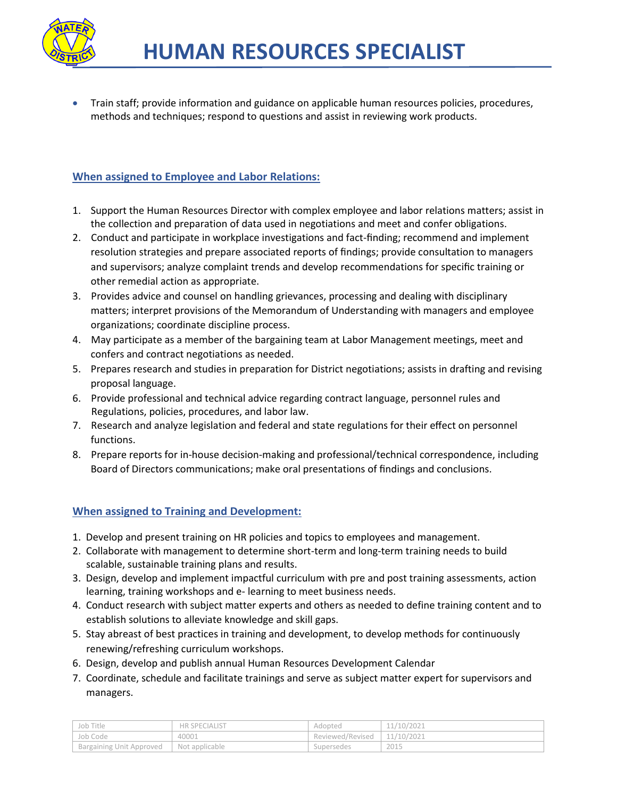

 Train staff; provide information and guidance on applicable human resources policies, procedures, methods and techniques; respond to questions and assist in reviewing work products.

## **When assigned to Employee and Labor Relations:**

- 1. Support the Human Resources Director with complex employee and labor relations matters; assist in the collection and preparation of data used in negotiations and meet and confer obligations.
- 2. Conduct and participate in workplace investigations and fact-finding; recommend and implement resolution strategies and prepare associated reports of findings; provide consultation to managers and supervisors; analyze complaint trends and develop recommendations for specific training or other remedial action as appropriate.
- 3. Provides advice and counsel on handling grievances, processing and dealing with disciplinary matters; interpret provisions of the Memorandum of Understanding with managers and employee organizations; coordinate discipline process.
- 4. May participate as a member of the bargaining team at Labor Management meetings, meet and confers and contract negotiations as needed.
- 5. Prepares research and studies in preparation for District negotiations; assists in drafting and revising proposal language.
- 6. Provide professional and technical advice regarding contract language, personnel rules and Regulations, policies, procedures, and labor law.
- 7. Research and analyze legislation and federal and state regulations for their effect on personnel functions.
- 8. Prepare reports for in-house decision-making and professional/technical correspondence, including Board of Directors communications; make oral presentations of findings and conclusions.

## **When assigned to Training and Development:**

- 1. Develop and present training on HR policies and topics to employees and management.
- 2. Collaborate with management to determine short-term and long-term training needs to build scalable, sustainable training plans and results.
- 3. Design, develop and implement impactful curriculum with pre and post training assessments, action learning, training workshops and e- learning to meet business needs.
- 4. Conduct research with subject matter experts and others as needed to define training content and to establish solutions to alleviate knowledge and skill gaps.
- 5. Stay abreast of best practices in training and development, to develop methods for continuously renewing/refreshing curriculum workshops.
- 6. Design, develop and publish annual Human Resources Development Calendar
- 7. Coordinate, schedule and facilitate trainings and serve as subject matter expert for supervisors and managers.

| ' Job Title                     | <b>HR SPECIALIST</b> | Adopted          | 11/10/2021 |
|---------------------------------|----------------------|------------------|------------|
| Job Code                        | 40001                | Reviewed/Revised | 11/10/2021 |
| <b>Bargaining Unit Approved</b> | Not applicable       | Supersedes       | 2015       |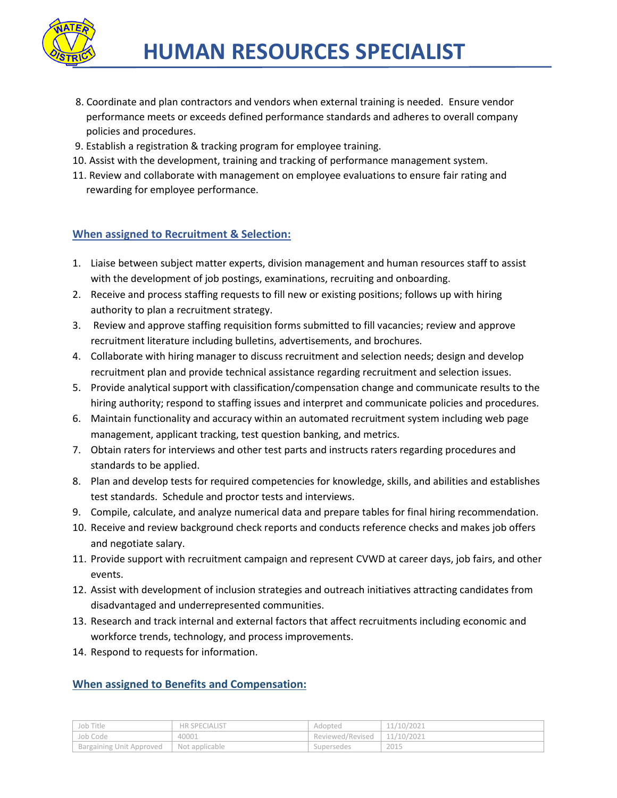

- 8. Coordinate and plan contractors and vendors when external training is needed. Ensure vendor performance meets or exceeds defined performance standards and adheres to overall company policies and procedures.
- 9. Establish a registration & tracking program for employee training.
- 10. Assist with the development, training and tracking of performance management system.
- 11. Review and collaborate with management on employee evaluations to ensure fair rating and rewarding for employee performance.

## **When assigned to Recruitment & Selection:**

- 1. Liaise between subject matter experts, division management and human resources staff to assist with the development of job postings, examinations, recruiting and onboarding.
- 2. Receive and process staffing requests to fill new or existing positions; follows up with hiring authority to plan a recruitment strategy.
- 3. Review and approve staffing requisition forms submitted to fill vacancies; review and approve recruitment literature including bulletins, advertisements, and brochures.
- 4. Collaborate with hiring manager to discuss recruitment and selection needs; design and develop recruitment plan and provide technical assistance regarding recruitment and selection issues.
- 5. Provide analytical support with classification/compensation change and communicate results to the hiring authority; respond to staffing issues and interpret and communicate policies and procedures.
- 6. Maintain functionality and accuracy within an automated recruitment system including web page management, applicant tracking, test question banking, and metrics.
- 7. Obtain raters for interviews and other test parts and instructs raters regarding procedures and standards to be applied.
- 8. Plan and develop tests for required competencies for knowledge, skills, and abilities and establishes test standards. Schedule and proctor tests and interviews.
- 9. Compile, calculate, and analyze numerical data and prepare tables for final hiring recommendation.
- 10. Receive and review background check reports and conducts reference checks and makes job offers and negotiate salary.
- 11. Provide support with recruitment campaign and represent CVWD at career days, job fairs, and other events.
- 12. Assist with development of inclusion strategies and outreach initiatives attracting candidates from disadvantaged and underrepresented communities.
- 13. Research and track internal and external factors that affect recruitments including economic and workforce trends, technology, and process improvements.
- 14. Respond to requests for information.

# **When assigned to Benefits and Compensation:**

| Job Title                | <b>HR SPECIALIST</b> | Adopted          | 11/10/2021 |
|--------------------------|----------------------|------------------|------------|
| Job Code                 | 40001                | Reviewed/Revised | 11/10/2021 |
| Bargaining Unit Approved | Not applicable       | Supersedes       | 2015       |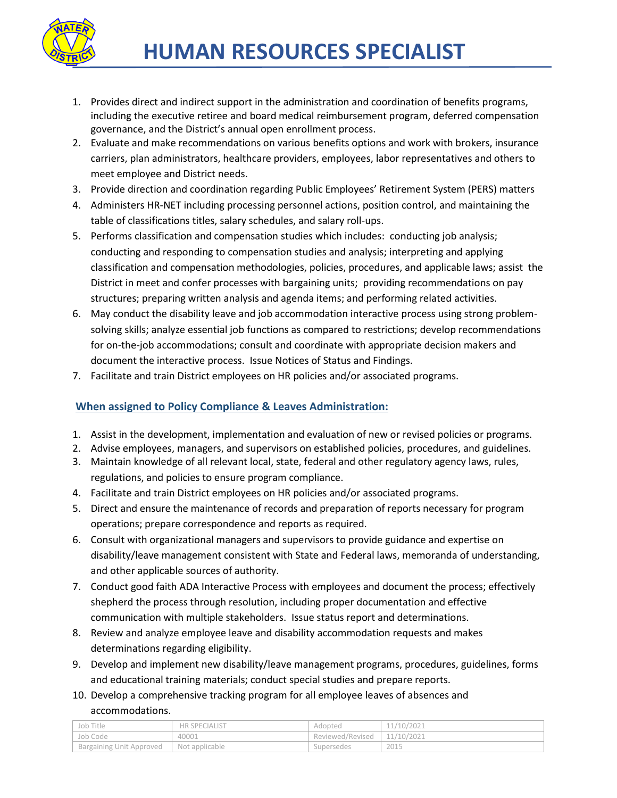

- 1. Provides direct and indirect support in the administration and coordination of benefits programs, including the executive retiree and board medical reimbursement program, deferred compensation governance, and the District's annual open enrollment process.
- 2. Evaluate and make recommendations on various benefits options and work with brokers, insurance carriers, plan administrators, healthcare providers, employees, labor representatives and others to meet employee and District needs.
- 3. Provide direction and coordination regarding Public Employees' Retirement System (PERS) matters
- 4. Administers HR-NET including processing personnel actions, position control, and maintaining the table of classifications titles, salary schedules, and salary roll-ups.
- 5. Performs classification and compensation studies which includes: conducting job analysis; conducting and responding to compensation studies and analysis; interpreting and applying classification and compensation methodologies, policies, procedures, and applicable laws; assist the District in meet and confer processes with bargaining units; providing recommendations on pay structures; preparing written analysis and agenda items; and performing related activities.
- 6. May conduct the disability leave and job accommodation interactive process using strong problemsolving skills; analyze essential job functions as compared to restrictions; develop recommendations for on-the-job accommodations; consult and coordinate with appropriate decision makers and document the interactive process. Issue Notices of Status and Findings.
- 7. Facilitate and train District employees on HR policies and/or associated programs.

## **When assigned to Policy Compliance & Leaves Administration:**

- 1. Assist in the development, implementation and evaluation of new or revised policies or programs.
- 2. Advise employees, managers, and supervisors on established policies, procedures, and guidelines.
- 3. Maintain knowledge of all relevant local, state, federal and other regulatory agency laws, rules, regulations, and policies to ensure program compliance.
- 4. Facilitate and train District employees on HR policies and/or associated programs.
- 5. Direct and ensure the maintenance of records and preparation of reports necessary for program operations; prepare correspondence and reports as required.
- 6. Consult with organizational managers and supervisors to provide guidance and expertise on disability/leave management consistent with State and Federal laws, memoranda of understanding, and other applicable sources of authority.
- 7. Conduct good faith ADA Interactive Process with employees and document the process; effectively shepherd the process through resolution, including proper documentation and effective communication with multiple stakeholders. Issue status report and determinations.
- 8. Review and analyze employee leave and disability accommodation requests and makes determinations regarding eligibility.
- 9. Develop and implement new disability/leave management programs, procedures, guidelines, forms and educational training materials; conduct special studies and prepare reports.
- 10. Develop a comprehensive tracking program for all employee leaves of absences and accommodations.

| Job Title                       | <b>HR SPECIALIST</b> | Adopted          | 11/10/2021 |
|---------------------------------|----------------------|------------------|------------|
| Job Code                        | 40001                | Reviewed/Revised | 11/10/2021 |
| <b>Bargaining Unit Approved</b> | Not applicable       | Supersedes       | 2015       |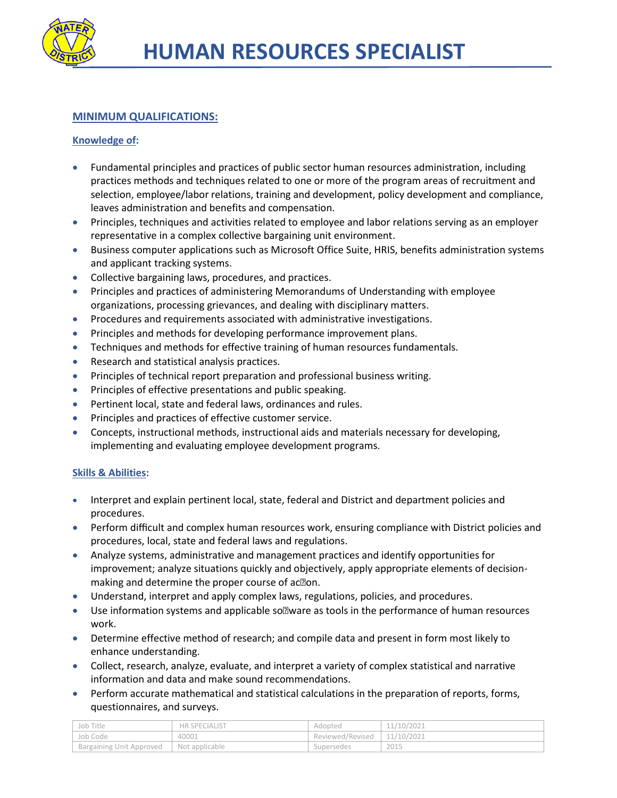

## **MINIMUM QUALIFICATIONS:**

### **Knowledge of:**

- Fundamental principles and practices of public sector human resources administration, including practices methods and techniques related to one or more of the program areas of recruitment and selection, employee/labor relations, training and development, policy development and compliance, leaves administration and benefits and compensation.
- Principles, techniques and activities related to employee and labor relations serving as an employer representative in a complex collective bargaining unit environment.
- Business computer applications such as Microsoft Office Suite, HRIS, benefits administration systems and applicant tracking systems.
- Collective bargaining laws, procedures, and practices.
- Principles and practices of administering Memorandums of Understanding with employee organizations, processing grievances, and dealing with disciplinary matters.
- **•** Procedures and requirements associated with administrative investigations.
- Principles and methods for developing performance improvement plans.
- Techniques and methods for effective training of human resources fundamentals.
- Research and statistical analysis practices.
- Principles of technical report preparation and professional business writing.
- **•** Principles of effective presentations and public speaking.
- Pertinent local, state and federal laws, ordinances and rules.
- **•** Principles and practices of effective customer service.
- Concepts, instructional methods, instructional aids and materials necessary for developing, implementing and evaluating employee development programs.

#### **Skills & Abilities:**

- Interpret and explain pertinent local, state, federal and District and department policies and procedures.
- Perform difficult and complex human resources work, ensuring compliance with District policies and procedures, local, state and federal laws and regulations.
- Analyze systems, administrative and management practices and identify opportunities for improvement; analyze situations quickly and objectively, apply appropriate elements of decisionmaking and determine the proper course of ac<sup>on</sup>.
- Understand, interpret and apply complex laws, regulations, policies, and procedures.
- $\bullet$  Use information systems and applicable so $\mathbb{Z}$  ware as tools in the performance of human resources work.
- Determine effective method of research; and compile data and present in form most likely to enhance understanding.
- Collect, research, analyze, evaluate, and interpret a variety of complex statistical and narrative information and data and make sound recommendations.
- Perform accurate mathematical and statistical calculations in the preparation of reports, forms, questionnaires, and surveys.

| Job Title                | <b>HR SPECIALIST</b> | Adopted          | 11/10/2021 |
|--------------------------|----------------------|------------------|------------|
| Job Code                 | 40001                | Reviewed/Revised | 11/10/2021 |
| Bargaining Unit Approved | Not applicable       | supersedes       | 2015       |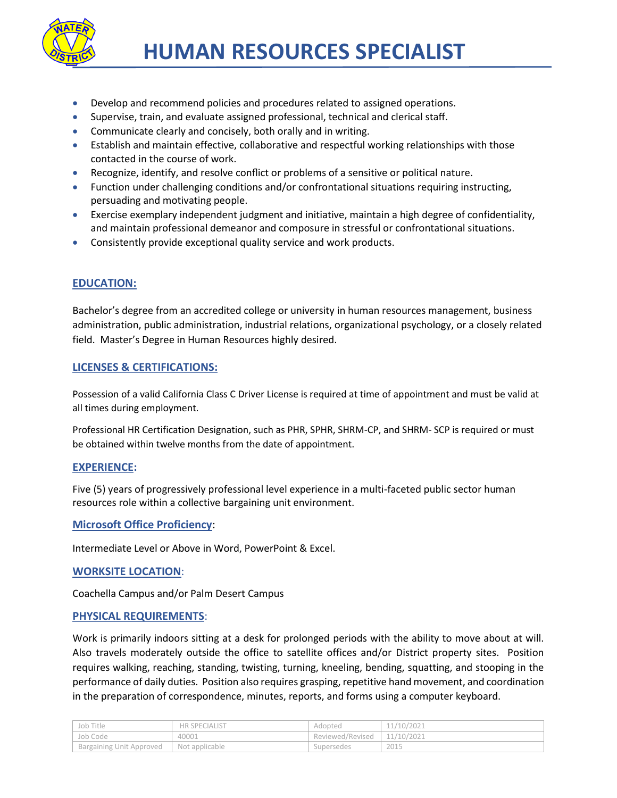

- Develop and recommend policies and procedures related to assigned operations.
- Supervise, train, and evaluate assigned professional, technical and clerical staff.
- Communicate clearly and concisely, both orally and in writing.
- Establish and maintain effective, collaborative and respectful working relationships with those contacted in the course of work.
- Recognize, identify, and resolve conflict or problems of a sensitive or political nature.
- Function under challenging conditions and/or confrontational situations requiring instructing, persuading and motivating people.
- Exercise exemplary independent judgment and initiative, maintain a high degree of confidentiality, and maintain professional demeanor and composure in stressful or confrontational situations.
- Consistently provide exceptional quality service and work products.

## **EDUCATION:**

Bachelor's degree from an accredited college or university in human resources management, business administration, public administration, industrial relations, organizational psychology, or a closely related field. Master's Degree in Human Resources highly desired.

#### **LICENSES & CERTIFICATIONS:**

Possession of a valid California Class C Driver License is required at time of appointment and must be valid at all times during employment.

Professional HR Certification Designation, such as PHR, SPHR, SHRM-CP, and SHRM- SCP is required or must be obtained within twelve months from the date of appointment.

## **EXPERIENCE:**

Five (5) years of progressively professional level experience in a multi-faceted public sector human resources role within a collective bargaining unit environment.

## **Microsoft Office Proficiency**:

Intermediate Level or Above in Word, PowerPoint & Excel.

#### **WORKSITE LOCATION**:

Coachella Campus and/or Palm Desert Campus

#### **PHYSICAL REQUIREMENTS**:

Work is primarily indoors sitting at a desk for prolonged periods with the ability to move about at will. Also travels moderately outside the office to satellite offices and/or District property sites. Position requires walking, reaching, standing, twisting, turning, kneeling, bending, squatting, and stooping in the performance of daily duties. Position also requires grasping, repetitive hand movement, and coordination in the preparation of correspondence, minutes, reports, and forms using a computer keyboard.

| Job Title                | <b>HR SPECIALIST</b> | Adopted          | 11/10/2021 |
|--------------------------|----------------------|------------------|------------|
| Job Code                 | 40001                | Reviewed/Revised | 11/10/2021 |
| Bargaining Unit Approved | Not applicable       | Supersedes       | 2015       |